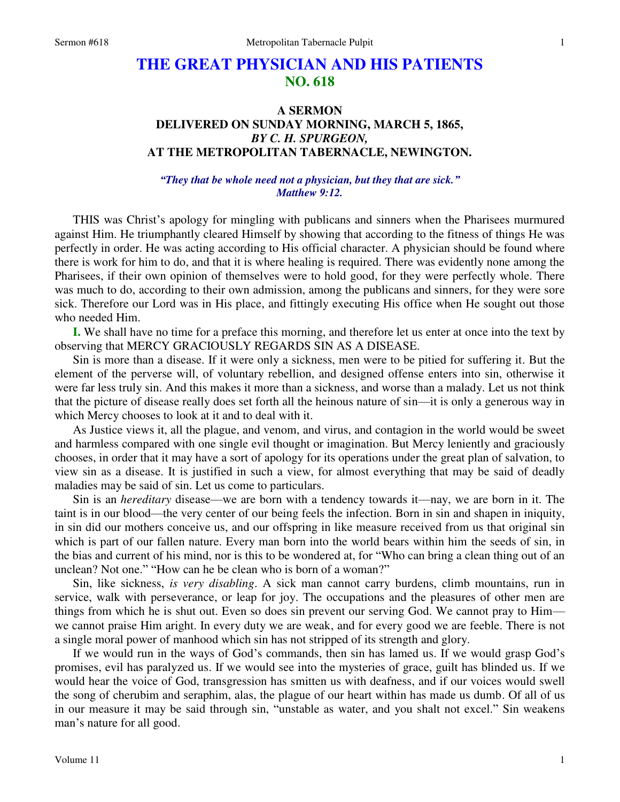## **THE GREAT PHYSICIAN AND HIS PATIENTS NO. 618**

## **A SERMON DELIVERED ON SUNDAY MORNING, MARCH 5, 1865,**  *BY C. H. SPURGEON,*  **AT THE METROPOLITAN TABERNACLE, NEWINGTON.**

## *"They that be whole need not a physician, but they that are sick." Matthew 9:12.*

 THIS was Christ's apology for mingling with publicans and sinners when the Pharisees murmured against Him. He triumphantly cleared Himself by showing that according to the fitness of things He was perfectly in order. He was acting according to His official character. A physician should be found where there is work for him to do, and that it is where healing is required. There was evidently none among the Pharisees, if their own opinion of themselves were to hold good, for they were perfectly whole. There was much to do, according to their own admission, among the publicans and sinners, for they were sore sick. Therefore our Lord was in His place, and fittingly executing His office when He sought out those who needed Him.

**I.** We shall have no time for a preface this morning, and therefore let us enter at once into the text by observing that MERCY GRACIOUSLY REGARDS SIN AS A DISEASE.

 Sin is more than a disease. If it were only a sickness, men were to be pitied for suffering it. But the element of the perverse will, of voluntary rebellion, and designed offense enters into sin, otherwise it were far less truly sin. And this makes it more than a sickness, and worse than a malady. Let us not think that the picture of disease really does set forth all the heinous nature of sin—it is only a generous way in which Mercy chooses to look at it and to deal with it.

 As Justice views it, all the plague, and venom, and virus, and contagion in the world would be sweet and harmless compared with one single evil thought or imagination. But Mercy leniently and graciously chooses, in order that it may have a sort of apology for its operations under the great plan of salvation, to view sin as a disease. It is justified in such a view, for almost everything that may be said of deadly maladies may be said of sin. Let us come to particulars.

 Sin is an *hereditary* disease—we are born with a tendency towards it—nay, we are born in it. The taint is in our blood—the very center of our being feels the infection. Born in sin and shapen in iniquity, in sin did our mothers conceive us, and our offspring in like measure received from us that original sin which is part of our fallen nature. Every man born into the world bears within him the seeds of sin, in the bias and current of his mind, nor is this to be wondered at, for "Who can bring a clean thing out of an unclean? Not one." "How can he be clean who is born of a woman?"

 Sin, like sickness, *is very disabling*. A sick man cannot carry burdens, climb mountains, run in service, walk with perseverance, or leap for joy. The occupations and the pleasures of other men are things from which he is shut out. Even so does sin prevent our serving God. We cannot pray to Him we cannot praise Him aright. In every duty we are weak, and for every good we are feeble. There is not a single moral power of manhood which sin has not stripped of its strength and glory.

 If we would run in the ways of God's commands, then sin has lamed us. If we would grasp God's promises, evil has paralyzed us. If we would see into the mysteries of grace, guilt has blinded us. If we would hear the voice of God, transgression has smitten us with deafness, and if our voices would swell the song of cherubim and seraphim, alas, the plague of our heart within has made us dumb. Of all of us in our measure it may be said through sin, "unstable as water, and you shalt not excel." Sin weakens man's nature for all good.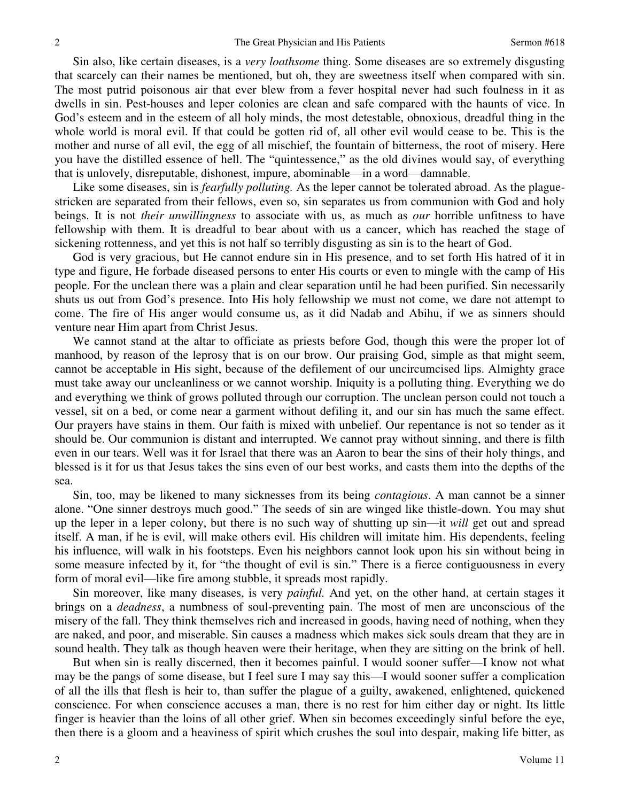Sin also, like certain diseases, is a *very loathsome* thing. Some diseases are so extremely disgusting that scarcely can their names be mentioned, but oh, they are sweetness itself when compared with sin. The most putrid poisonous air that ever blew from a fever hospital never had such foulness in it as dwells in sin. Pest-houses and leper colonies are clean and safe compared with the haunts of vice. In God's esteem and in the esteem of all holy minds, the most detestable, obnoxious, dreadful thing in the whole world is moral evil. If that could be gotten rid of, all other evil would cease to be. This is the mother and nurse of all evil, the egg of all mischief, the fountain of bitterness, the root of misery. Here you have the distilled essence of hell. The "quintessence," as the old divines would say, of everything that is unlovely, disreputable, dishonest, impure, abominable—in a word—damnable.

Like some diseases, sin is *fearfully polluting*. As the leper cannot be tolerated abroad. As the plaguestricken are separated from their fellows, even so, sin separates us from communion with God and holy beings. It is not *their unwillingness* to associate with us, as much as *our* horrible unfitness to have fellowship with them. It is dreadful to bear about with us a cancer, which has reached the stage of sickening rottenness, and yet this is not half so terribly disgusting as sin is to the heart of God.

 God is very gracious, but He cannot endure sin in His presence, and to set forth His hatred of it in type and figure, He forbade diseased persons to enter His courts or even to mingle with the camp of His people. For the unclean there was a plain and clear separation until he had been purified. Sin necessarily shuts us out from God's presence. Into His holy fellowship we must not come, we dare not attempt to come. The fire of His anger would consume us, as it did Nadab and Abihu, if we as sinners should venture near Him apart from Christ Jesus.

 We cannot stand at the altar to officiate as priests before God, though this were the proper lot of manhood, by reason of the leprosy that is on our brow. Our praising God, simple as that might seem, cannot be acceptable in His sight, because of the defilement of our uncircumcised lips. Almighty grace must take away our uncleanliness or we cannot worship. Iniquity is a polluting thing. Everything we do and everything we think of grows polluted through our corruption. The unclean person could not touch a vessel, sit on a bed, or come near a garment without defiling it, and our sin has much the same effect. Our prayers have stains in them. Our faith is mixed with unbelief. Our repentance is not so tender as it should be. Our communion is distant and interrupted. We cannot pray without sinning, and there is filth even in our tears. Well was it for Israel that there was an Aaron to bear the sins of their holy things, and blessed is it for us that Jesus takes the sins even of our best works, and casts them into the depths of the sea.

 Sin, too, may be likened to many sicknesses from its being *contagious*. A man cannot be a sinner alone. "One sinner destroys much good." The seeds of sin are winged like thistle-down. You may shut up the leper in a leper colony, but there is no such way of shutting up sin—it *will* get out and spread itself. A man, if he is evil, will make others evil. His children will imitate him. His dependents, feeling his influence, will walk in his footsteps. Even his neighbors cannot look upon his sin without being in some measure infected by it, for "the thought of evil is sin." There is a fierce contiguousness in every form of moral evil—like fire among stubble, it spreads most rapidly.

Sin moreover, like many diseases, is very *painful.* And yet, on the other hand, at certain stages it brings on a *deadness*, a numbness of soul-preventing pain. The most of men are unconscious of the misery of the fall. They think themselves rich and increased in goods, having need of nothing, when they are naked, and poor, and miserable. Sin causes a madness which makes sick souls dream that they are in sound health. They talk as though heaven were their heritage, when they are sitting on the brink of hell.

 But when sin is really discerned, then it becomes painful. I would sooner suffer—I know not what may be the pangs of some disease, but I feel sure I may say this—I would sooner suffer a complication of all the ills that flesh is heir to, than suffer the plague of a guilty, awakened, enlightened, quickened conscience. For when conscience accuses a man, there is no rest for him either day or night. Its little finger is heavier than the loins of all other grief. When sin becomes exceedingly sinful before the eye, then there is a gloom and a heaviness of spirit which crushes the soul into despair, making life bitter, as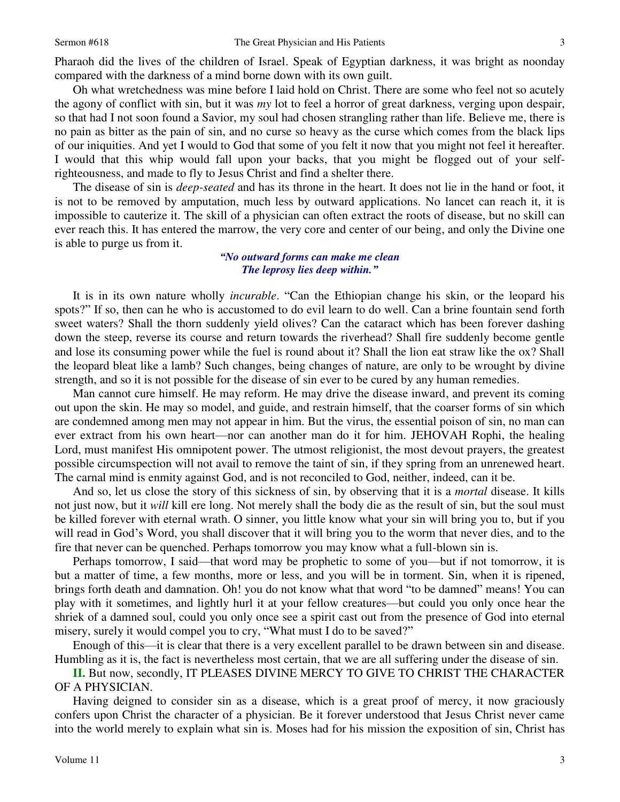Pharaoh did the lives of the children of Israel. Speak of Egyptian darkness, it was bright as noonday compared with the darkness of a mind borne down with its own guilt.

 Oh what wretchedness was mine before I laid hold on Christ. There are some who feel not so acutely the agony of conflict with sin, but it was *my* lot to feel a horror of great darkness, verging upon despair, so that had I not soon found a Savior, my soul had chosen strangling rather than life. Believe me, there is no pain as bitter as the pain of sin, and no curse so heavy as the curse which comes from the black lips of our iniquities. And yet I would to God that some of you felt it now that you might not feel it hereafter. I would that this whip would fall upon your backs, that you might be flogged out of your selfrighteousness, and made to fly to Jesus Christ and find a shelter there.

 The disease of sin is *deep-seated* and has its throne in the heart. It does not lie in the hand or foot, it is not to be removed by amputation, much less by outward applications. No lancet can reach it, it is impossible to cauterize it. The skill of a physician can often extract the roots of disease, but no skill can ever reach this. It has entered the marrow, the very core and center of our being, and only the Divine one is able to purge us from it.

## *"No outward forms can make me clean The leprosy lies deep within."*

 It is in its own nature wholly *incurable*. "Can the Ethiopian change his skin, or the leopard his spots?" If so, then can he who is accustomed to do evil learn to do well. Can a brine fountain send forth sweet waters? Shall the thorn suddenly yield olives? Can the cataract which has been forever dashing down the steep, reverse its course and return towards the riverhead? Shall fire suddenly become gentle and lose its consuming power while the fuel is round about it? Shall the lion eat straw like the ox? Shall the leopard bleat like a lamb? Such changes, being changes of nature, are only to be wrought by divine strength, and so it is not possible for the disease of sin ever to be cured by any human remedies.

 Man cannot cure himself. He may reform. He may drive the disease inward, and prevent its coming out upon the skin. He may so model, and guide, and restrain himself, that the coarser forms of sin which are condemned among men may not appear in him. But the virus, the essential poison of sin, no man can ever extract from his own heart—nor can another man do it for him. JEHOVAH Rophi, the healing Lord, must manifest His omnipotent power. The utmost religionist, the most devout prayers, the greatest possible circumspection will not avail to remove the taint of sin, if they spring from an unrenewed heart. The carnal mind is enmity against God, and is not reconciled to God, neither, indeed, can it be.

 And so, let us close the story of this sickness of sin, by observing that it is a *mortal* disease. It kills not just now, but it *will* kill ere long. Not merely shall the body die as the result of sin, but the soul must be killed forever with eternal wrath. O sinner, you little know what your sin will bring you to, but if you will read in God's Word, you shall discover that it will bring you to the worm that never dies, and to the fire that never can be quenched. Perhaps tomorrow you may know what a full-blown sin is.

Perhaps tomorrow, I said—that word may be prophetic to some of you—but if not tomorrow, it is but a matter of time, a few months, more or less, and you will be in torment. Sin, when it is ripened, brings forth death and damnation. Oh! you do not know what that word "to be damned" means! You can play with it sometimes, and lightly hurl it at your fellow creatures—but could you only once hear the shriek of a damned soul, could you only once see a spirit cast out from the presence of God into eternal misery, surely it would compel you to cry, "What must I do to be saved?"

 Enough of this—it is clear that there is a very excellent parallel to be drawn between sin and disease. Humbling as it is, the fact is nevertheless most certain, that we are all suffering under the disease of sin.

**II.** But now, secondly, IT PLEASES DIVINE MERCY TO GIVE TO CHRIST THE CHARACTER OF A PHYSICIAN.

 Having deigned to consider sin as a disease, which is a great proof of mercy, it now graciously confers upon Christ the character of a physician. Be it forever understood that Jesus Christ never came into the world merely to explain what sin is. Moses had for his mission the exposition of sin, Christ has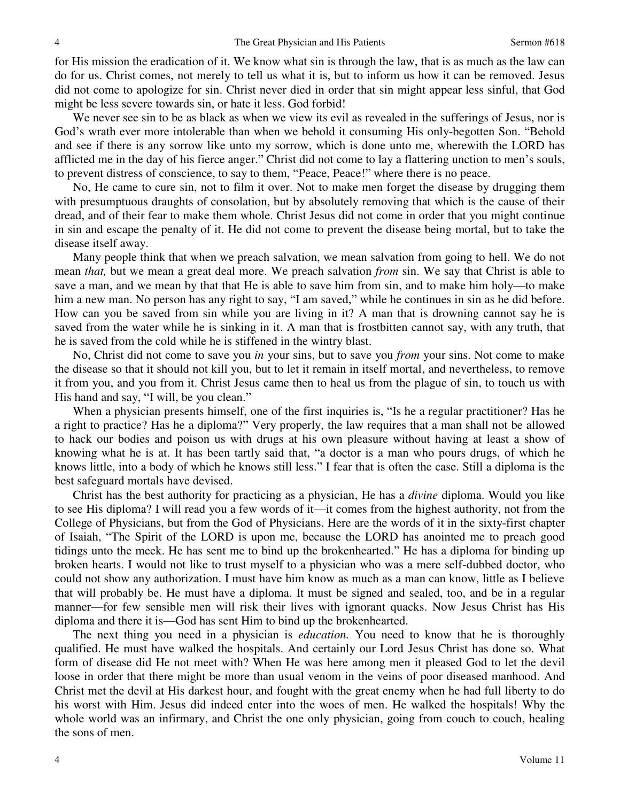for His mission the eradication of it. We know what sin is through the law, that is as much as the law can do for us. Christ comes, not merely to tell us what it is, but to inform us how it can be removed. Jesus did not come to apologize for sin. Christ never died in order that sin might appear less sinful, that God might be less severe towards sin, or hate it less. God forbid!

We never see sin to be as black as when we view its evil as revealed in the sufferings of Jesus, nor is God's wrath ever more intolerable than when we behold it consuming His only-begotten Son. "Behold and see if there is any sorrow like unto my sorrow, which is done unto me, wherewith the LORD has afflicted me in the day of his fierce anger." Christ did not come to lay a flattering unction to men's souls, to prevent distress of conscience, to say to them, "Peace, Peace!" where there is no peace.

 No, He came to cure sin, not to film it over. Not to make men forget the disease by drugging them with presumptuous draughts of consolation, but by absolutely removing that which is the cause of their dread, and of their fear to make them whole. Christ Jesus did not come in order that you might continue in sin and escape the penalty of it. He did not come to prevent the disease being mortal, but to take the disease itself away.

 Many people think that when we preach salvation, we mean salvation from going to hell. We do not mean *that,* but we mean a great deal more. We preach salvation *from* sin. We say that Christ is able to save a man, and we mean by that that He is able to save him from sin, and to make him holy—to make him a new man. No person has any right to say, "I am saved," while he continues in sin as he did before. How can you be saved from sin while you are living in it? A man that is drowning cannot say he is saved from the water while he is sinking in it. A man that is frostbitten cannot say, with any truth, that he is saved from the cold while he is stiffened in the wintry blast.

 No, Christ did not come to save you *in* your sins, but to save you *from* your sins. Not come to make the disease so that it should not kill you, but to let it remain in itself mortal, and nevertheless, to remove it from you, and you from it. Christ Jesus came then to heal us from the plague of sin, to touch us with His hand and say, "I will, be you clean."

 When a physician presents himself, one of the first inquiries is, "Is he a regular practitioner? Has he a right to practice? Has he a diploma?" Very properly, the law requires that a man shall not be allowed to hack our bodies and poison us with drugs at his own pleasure without having at least a show of knowing what he is at. It has been tartly said that, "a doctor is a man who pours drugs, of which he knows little, into a body of which he knows still less." I fear that is often the case. Still a diploma is the best safeguard mortals have devised.

 Christ has the best authority for practicing as a physician, He has a *divine* diploma. Would you like to see His diploma? I will read you a few words of it—it comes from the highest authority, not from the College of Physicians, but from the God of Physicians. Here are the words of it in the sixty-first chapter of Isaiah, "The Spirit of the LORD is upon me, because the LORD has anointed me to preach good tidings unto the meek. He has sent me to bind up the brokenhearted." He has a diploma for binding up broken hearts. I would not like to trust myself to a physician who was a mere self-dubbed doctor, who could not show any authorization. I must have him know as much as a man can know, little as I believe that will probably be. He must have a diploma. It must be signed and sealed, too, and be in a regular manner—for few sensible men will risk their lives with ignorant quacks. Now Jesus Christ has His diploma and there it is—God has sent Him to bind up the brokenhearted.

 The next thing you need in a physician is *education.* You need to know that he is thoroughly qualified. He must have walked the hospitals. And certainly our Lord Jesus Christ has done so. What form of disease did He not meet with? When He was here among men it pleased God to let the devil loose in order that there might be more than usual venom in the veins of poor diseased manhood. And Christ met the devil at His darkest hour, and fought with the great enemy when he had full liberty to do his worst with Him. Jesus did indeed enter into the woes of men. He walked the hospitals! Why the whole world was an infirmary, and Christ the one only physician, going from couch to couch, healing the sons of men.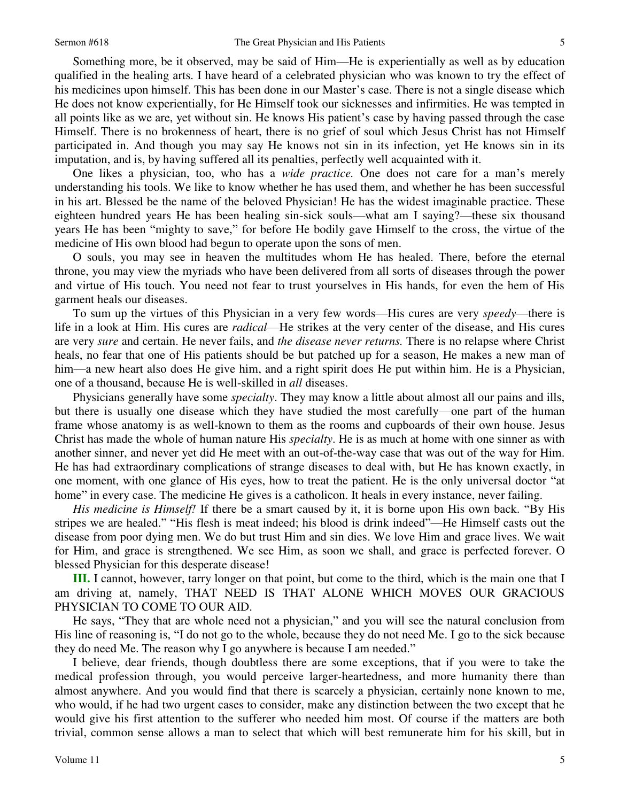Something more, be it observed, may be said of Him—He is experientially as well as by education qualified in the healing arts. I have heard of a celebrated physician who was known to try the effect of his medicines upon himself. This has been done in our Master's case. There is not a single disease which He does not know experientially, for He Himself took our sicknesses and infirmities. He was tempted in all points like as we are, yet without sin. He knows His patient's case by having passed through the case Himself. There is no brokenness of heart, there is no grief of soul which Jesus Christ has not Himself participated in. And though you may say He knows not sin in its infection, yet He knows sin in its imputation, and is, by having suffered all its penalties, perfectly well acquainted with it.

 One likes a physician, too, who has a *wide practice.* One does not care for a man's merely understanding his tools. We like to know whether he has used them, and whether he has been successful in his art. Blessed be the name of the beloved Physician! He has the widest imaginable practice. These eighteen hundred years He has been healing sin-sick souls—what am I saying?—these six thousand years He has been "mighty to save," for before He bodily gave Himself to the cross, the virtue of the medicine of His own blood had begun to operate upon the sons of men.

O souls, you may see in heaven the multitudes whom He has healed. There, before the eternal throne, you may view the myriads who have been delivered from all sorts of diseases through the power and virtue of His touch. You need not fear to trust yourselves in His hands, for even the hem of His garment heals our diseases.

 To sum up the virtues of this Physician in a very few words—His cures are very *speedy*—there is life in a look at Him. His cures are *radical*—He strikes at the very center of the disease, and His cures are very *sure* and certain. He never fails, and *the disease never returns.* There is no relapse where Christ heals, no fear that one of His patients should be but patched up for a season, He makes a new man of him—a new heart also does He give him, and a right spirit does He put within him. He is a Physician, one of a thousand, because He is well-skilled in *all* diseases.

 Physicians generally have some *specialty*. They may know a little about almost all our pains and ills, but there is usually one disease which they have studied the most carefully—one part of the human frame whose anatomy is as well-known to them as the rooms and cupboards of their own house. Jesus Christ has made the whole of human nature His *specialty*. He is as much at home with one sinner as with another sinner, and never yet did He meet with an out-of-the-way case that was out of the way for Him. He has had extraordinary complications of strange diseases to deal with, but He has known exactly, in one moment, with one glance of His eyes, how to treat the patient. He is the only universal doctor "at home" in every case. The medicine He gives is a catholicon. It heals in every instance, never failing.

 *His medicine is Himself!* If there be a smart caused by it, it is borne upon His own back. "By His stripes we are healed." "His flesh is meat indeed; his blood is drink indeed"—He Himself casts out the disease from poor dying men. We do but trust Him and sin dies. We love Him and grace lives. We wait for Him, and grace is strengthened. We see Him, as soon we shall, and grace is perfected forever. O blessed Physician for this desperate disease!

**III.** I cannot, however, tarry longer on that point, but come to the third, which is the main one that I am driving at, namely, THAT NEED IS THAT ALONE WHICH MOVES OUR GRACIOUS PHYSICIAN TO COME TO OUR AID.

 He says, "They that are whole need not a physician," and you will see the natural conclusion from His line of reasoning is, "I do not go to the whole, because they do not need Me. I go to the sick because they do need Me. The reason why I go anywhere is because I am needed."

 I believe, dear friends, though doubtless there are some exceptions, that if you were to take the medical profession through, you would perceive larger-heartedness, and more humanity there than almost anywhere. And you would find that there is scarcely a physician, certainly none known to me, who would, if he had two urgent cases to consider, make any distinction between the two except that he would give his first attention to the sufferer who needed him most. Of course if the matters are both trivial, common sense allows a man to select that which will best remunerate him for his skill, but in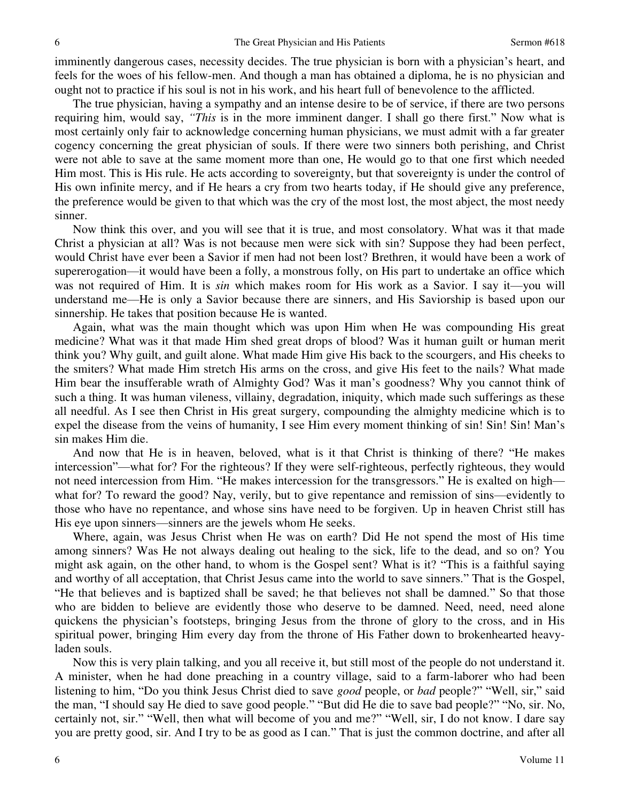imminently dangerous cases, necessity decides. The true physician is born with a physician's heart, and feels for the woes of his fellow-men. And though a man has obtained a diploma, he is no physician and ought not to practice if his soul is not in his work, and his heart full of benevolence to the afflicted.

 The true physician, having a sympathy and an intense desire to be of service, if there are two persons requiring him, would say, *"This* is in the more imminent danger. I shall go there first." Now what is most certainly only fair to acknowledge concerning human physicians, we must admit with a far greater cogency concerning the great physician of souls. If there were two sinners both perishing, and Christ were not able to save at the same moment more than one, He would go to that one first which needed Him most. This is His rule. He acts according to sovereignty, but that sovereignty is under the control of His own infinite mercy, and if He hears a cry from two hearts today, if He should give any preference, the preference would be given to that which was the cry of the most lost, the most abject, the most needy sinner.

 Now think this over, and you will see that it is true, and most consolatory. What was it that made Christ a physician at all? Was is not because men were sick with sin? Suppose they had been perfect, would Christ have ever been a Savior if men had not been lost? Brethren, it would have been a work of supererogation—it would have been a folly, a monstrous folly, on His part to undertake an office which was not required of Him. It is *sin* which makes room for His work as a Savior. I say it—you will understand me—He is only a Savior because there are sinners, and His Saviorship is based upon our sinnership. He takes that position because He is wanted.

 Again, what was the main thought which was upon Him when He was compounding His great medicine? What was it that made Him shed great drops of blood? Was it human guilt or human merit think you? Why guilt, and guilt alone. What made Him give His back to the scourgers, and His cheeks to the smiters? What made Him stretch His arms on the cross, and give His feet to the nails? What made Him bear the insufferable wrath of Almighty God? Was it man's goodness? Why you cannot think of such a thing. It was human vileness, villainy, degradation, iniquity, which made such sufferings as these all needful. As I see then Christ in His great surgery, compounding the almighty medicine which is to expel the disease from the veins of humanity, I see Him every moment thinking of sin! Sin! Sin! Man's sin makes Him die.

 And now that He is in heaven, beloved, what is it that Christ is thinking of there? "He makes intercession"—what for? For the righteous? If they were self-righteous, perfectly righteous, they would not need intercession from Him. "He makes intercession for the transgressors." He is exalted on high what for? To reward the good? Nay, verily, but to give repentance and remission of sins—evidently to those who have no repentance, and whose sins have need to be forgiven. Up in heaven Christ still has His eye upon sinners—sinners are the jewels whom He seeks.

 Where, again, was Jesus Christ when He was on earth? Did He not spend the most of His time among sinners? Was He not always dealing out healing to the sick, life to the dead, and so on? You might ask again, on the other hand, to whom is the Gospel sent? What is it? "This is a faithful saying and worthy of all acceptation, that Christ Jesus came into the world to save sinners." That is the Gospel, "He that believes and is baptized shall be saved; he that believes not shall be damned." So that those who are bidden to believe are evidently those who deserve to be damned. Need, need, need alone quickens the physician's footsteps, bringing Jesus from the throne of glory to the cross, and in His spiritual power, bringing Him every day from the throne of His Father down to brokenhearted heavyladen souls.

 Now this is very plain talking, and you all receive it, but still most of the people do not understand it. A minister, when he had done preaching in a country village, said to a farm-laborer who had been listening to him, "Do you think Jesus Christ died to save *good* people, or *bad* people?" "Well, sir," said the man, "I should say He died to save good people." "But did He die to save bad people?" "No, sir. No, certainly not, sir." "Well, then what will become of you and me?" "Well, sir, I do not know. I dare say you are pretty good, sir. And I try to be as good as I can." That is just the common doctrine, and after all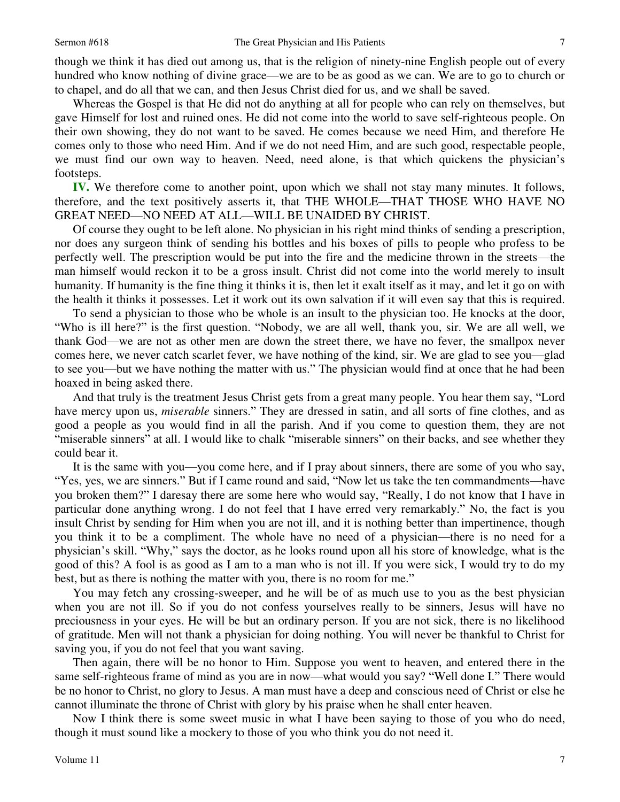though we think it has died out among us, that is the religion of ninety-nine English people out of every hundred who know nothing of divine grace—we are to be as good as we can. We are to go to church or to chapel, and do all that we can, and then Jesus Christ died for us, and we shall be saved.

 Whereas the Gospel is that He did not do anything at all for people who can rely on themselves, but gave Himself for lost and ruined ones. He did not come into the world to save self-righteous people. On their own showing, they do not want to be saved. He comes because we need Him, and therefore He comes only to those who need Him. And if we do not need Him, and are such good, respectable people, we must find our own way to heaven. Need, need alone, is that which quickens the physician's footsteps.

**IV.** We therefore come to another point, upon which we shall not stay many minutes. It follows, therefore, and the text positively asserts it, that THE WHOLE—THAT THOSE WHO HAVE NO GREAT NEED—NO NEED AT ALL—WILL BE UNAIDED BY CHRIST.

 Of course they ought to be left alone. No physician in his right mind thinks of sending a prescription, nor does any surgeon think of sending his bottles and his boxes of pills to people who profess to be perfectly well. The prescription would be put into the fire and the medicine thrown in the streets—the man himself would reckon it to be a gross insult. Christ did not come into the world merely to insult humanity. If humanity is the fine thing it thinks it is, then let it exalt itself as it may, and let it go on with the health it thinks it possesses. Let it work out its own salvation if it will even say that this is required.

 To send a physician to those who be whole is an insult to the physician too. He knocks at the door, "Who is ill here?" is the first question. "Nobody, we are all well, thank you, sir. We are all well, we thank God—we are not as other men are down the street there, we have no fever, the smallpox never comes here, we never catch scarlet fever, we have nothing of the kind, sir. We are glad to see you—glad to see you—but we have nothing the matter with us." The physician would find at once that he had been hoaxed in being asked there.

 And that truly is the treatment Jesus Christ gets from a great many people. You hear them say, "Lord have mercy upon us, *miserable* sinners." They are dressed in satin, and all sorts of fine clothes, and as good a people as you would find in all the parish. And if you come to question them, they are not "miserable sinners" at all. I would like to chalk "miserable sinners" on their backs, and see whether they could bear it.

 It is the same with you—you come here, and if I pray about sinners, there are some of you who say, "Yes, yes, we are sinners." But if I came round and said, "Now let us take the ten commandments—have you broken them?" I daresay there are some here who would say, "Really, I do not know that I have in particular done anything wrong. I do not feel that I have erred very remarkably." No, the fact is you insult Christ by sending for Him when you are not ill, and it is nothing better than impertinence, though you think it to be a compliment. The whole have no need of a physician—there is no need for a physician's skill. "Why," says the doctor, as he looks round upon all his store of knowledge, what is the good of this? A fool is as good as I am to a man who is not ill. If you were sick, I would try to do my best, but as there is nothing the matter with you, there is no room for me."

 You may fetch any crossing-sweeper, and he will be of as much use to you as the best physician when you are not ill. So if you do not confess yourselves really to be sinners, Jesus will have no preciousness in your eyes. He will be but an ordinary person. If you are not sick, there is no likelihood of gratitude. Men will not thank a physician for doing nothing. You will never be thankful to Christ for saving you, if you do not feel that you want saving.

 Then again, there will be no honor to Him. Suppose you went to heaven, and entered there in the same self-righteous frame of mind as you are in now—what would you say? "Well done I." There would be no honor to Christ, no glory to Jesus. A man must have a deep and conscious need of Christ or else he cannot illuminate the throne of Christ with glory by his praise when he shall enter heaven.

 Now I think there is some sweet music in what I have been saying to those of you who do need, though it must sound like a mockery to those of you who think you do not need it.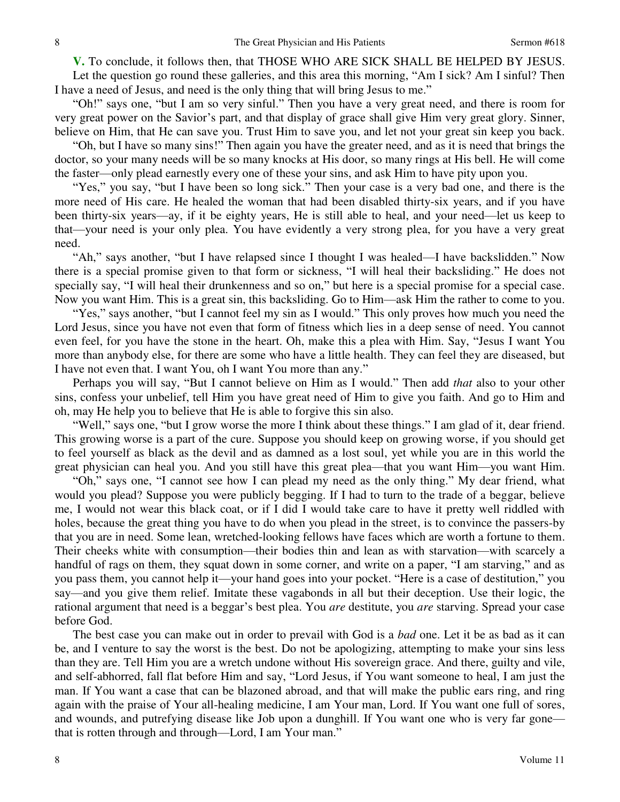**V.** To conclude, it follows then, that THOSE WHO ARE SICK SHALL BE HELPED BY JESUS. Let the question go round these galleries, and this area this morning, "Am I sick? Am I sinful? Then I have a need of Jesus, and need is the only thing that will bring Jesus to me."

"Oh!" says one, "but I am so very sinful." Then you have a very great need, and there is room for very great power on the Savior's part, and that display of grace shall give Him very great glory. Sinner, believe on Him, that He can save you. Trust Him to save you, and let not your great sin keep you back.

"Oh, but I have so many sins!" Then again you have the greater need, and as it is need that brings the doctor, so your many needs will be so many knocks at His door, so many rings at His bell. He will come the faster—only plead earnestly every one of these your sins, and ask Him to have pity upon you.

"Yes," you say, "but I have been so long sick." Then your case is a very bad one, and there is the more need of His care. He healed the woman that had been disabled thirty-six years, and if you have been thirty-six years—ay, if it be eighty years, He is still able to heal, and your need—let us keep to that—your need is your only plea. You have evidently a very strong plea, for you have a very great need.

"Ah," says another, "but I have relapsed since I thought I was healed—I have backslidden." Now there is a special promise given to that form or sickness, "I will heal their backsliding." He does not specially say, "I will heal their drunkenness and so on," but here is a special promise for a special case. Now you want Him. This is a great sin, this backsliding. Go to Him—ask Him the rather to come to you.

"Yes," says another, "but I cannot feel my sin as I would." This only proves how much you need the Lord Jesus, since you have not even that form of fitness which lies in a deep sense of need. You cannot even feel, for you have the stone in the heart. Oh, make this a plea with Him. Say, "Jesus I want You more than anybody else, for there are some who have a little health. They can feel they are diseased, but I have not even that. I want You, oh I want You more than any."

 Perhaps you will say, "But I cannot believe on Him as I would." Then add *that* also to your other sins, confess your unbelief, tell Him you have great need of Him to give you faith. And go to Him and oh, may He help you to believe that He is able to forgive this sin also.

"Well," says one, "but I grow worse the more I think about these things." I am glad of it, dear friend. This growing worse is a part of the cure. Suppose you should keep on growing worse, if you should get to feel yourself as black as the devil and as damned as a lost soul, yet while you are in this world the great physician can heal you. And you still have this great plea—that you want Him—you want Him.

"Oh," says one, "I cannot see how I can plead my need as the only thing." My dear friend, what would you plead? Suppose you were publicly begging. If I had to turn to the trade of a beggar, believe me, I would not wear this black coat, or if I did I would take care to have it pretty well riddled with holes, because the great thing you have to do when you plead in the street, is to convince the passers-by that you are in need. Some lean, wretched-looking fellows have faces which are worth a fortune to them. Their cheeks white with consumption—their bodies thin and lean as with starvation—with scarcely a handful of rags on them, they squat down in some corner, and write on a paper, "I am starving," and as you pass them, you cannot help it—your hand goes into your pocket. "Here is a case of destitution," you say—and you give them relief. Imitate these vagabonds in all but their deception. Use their logic, the rational argument that need is a beggar's best plea. You *are* destitute, you *are* starving. Spread your case before God.

 The best case you can make out in order to prevail with God is a *bad* one. Let it be as bad as it can be, and I venture to say the worst is the best. Do not be apologizing, attempting to make your sins less than they are. Tell Him you are a wretch undone without His sovereign grace. And there, guilty and vile, and self-abhorred, fall flat before Him and say, "Lord Jesus, if You want someone to heal, I am just the man. If You want a case that can be blazoned abroad, and that will make the public ears ring, and ring again with the praise of Your all-healing medicine, I am Your man, Lord. If You want one full of sores, and wounds, and putrefying disease like Job upon a dunghill. If You want one who is very far gone that is rotten through and through—Lord, I am Your man."